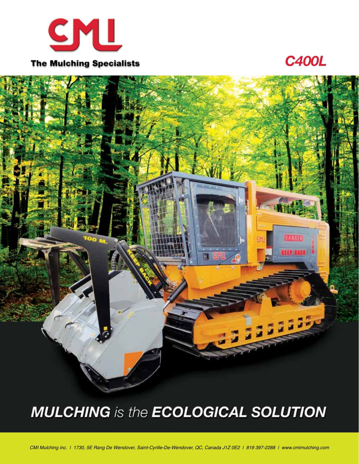

*C400L*



# **MULCHING** is the **ECOLOGICAL SOLUTION**

*CMI Mulching inc. | 1730, 5E Rang De Wendover, Saint-Cyrille-De-Wendover, QC, Canada J1Z 0E2 | 819 397-2288 | www.cmimulching.com*